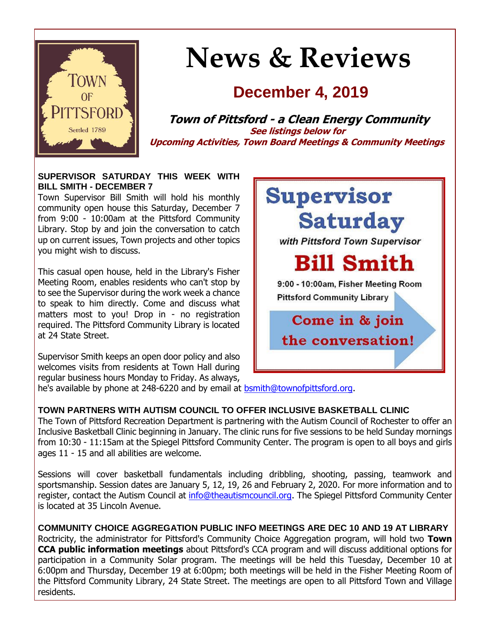

# **News & Reviews**

## **December 4, 2019**

**Town of Pittsford - a Clean Energy Community See listings below for Upcoming Activities, Town Board Meetings & Community Meetings**

#### **SUPERVISOR SATURDAY THIS WEEK WITH BILL SMITH - DECEMBER 7**

Town Supervisor Bill Smith will hold his monthly community open house this Saturday, December 7 from 9:00 - 10:00am at the Pittsford Community Library. Stop by and join the conversation to catch up on current issues, Town projects and other topics you might wish to discuss.

This casual open house, held in the Library's Fisher Meeting Room, enables residents who can't stop by to see the Supervisor during the work week a chance to speak to him directly. Come and discuss what matters most to you! Drop in - no registration required. The Pittsford Community Library is located at 24 State Street.

Supervisor Smith keeps an open door policy and also welcomes visits from residents at Town Hall during regular business hours Monday to Friday. As always, he's available by phone at 248-6220 and by email at [bsmith@townofpittsford.org.](mailto:bsmith@townofpittsford.org)



**TOWN PARTNERS WITH AUTISM COUNCIL TO OFFER INCLUSIVE BASKETBALL CLINIC** The Town of Pittsford Recreation Department is partnering with the Autism Council of Rochester to offer an Inclusive Basketball Clinic beginning in January. The clinic runs for five sessions to be held Sunday mornings from 10:30 - 11:15am at the Spiegel Pittsford Community Center. The program is open to all boys and girls ages 11 - 15 and all abilities are welcome.

Sessions will cover basketball fundamentals including dribbling, shooting, passing, teamwork and sportsmanship. Session dates are January 5, 12, 19, 26 and February 2, 2020. For more information and to register, contact the Autism Council at [info@theautismcouncil.org.](mailto:info@theautismcouncil.org?subject=Pittsford%20Winter%20Inclusive%20Basketball%20Clinic) The Spiegel Pittsford Community Center is located at 35 Lincoln Avenue.

**COMMUNITY CHOICE AGGREGATION PUBLIC INFO MEETINGS ARE DEC 10 AND 19 AT LIBRARY** Roctricity, the administrator for Pittsford's Community Choice Aggregation program, will hold two **Town CCA public information meetings** about Pittsford's CCA program and will discuss additional options for participation in a Community Solar program. The meetings will be held this Tuesday, December 10 at 6:00pm and Thursday, December 19 at 6:00pm; both meetings will be held in the Fisher Meeting Room of the Pittsford Community Library, 24 State Street. The meetings are open to all Pittsford Town and Village residents.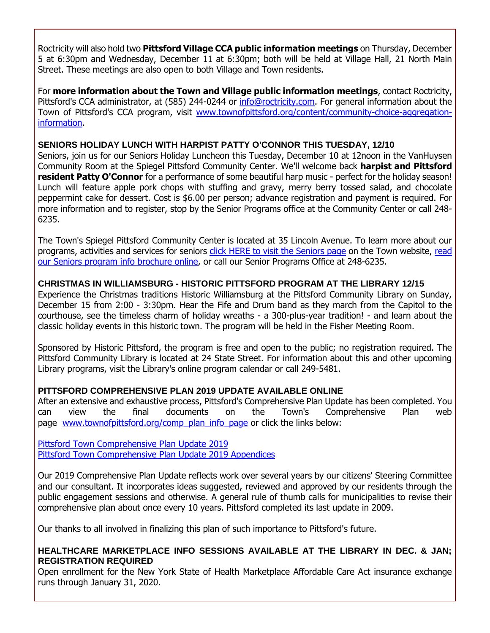Roctricity will also hold two **Pittsford Village CCA public information meetings** on Thursday, December 5 at 6:30pm and Wednesday, December 11 at 6:30pm; both will be held at Village Hall, 21 North Main Street. These meetings are also open to both Village and Town residents.

For **more information about the Town and Village public information meetings**, contact Roctricity, Pittsford's CCA administrator, at (585) 244-0244 or [info@roctricity.com.](mailto:info@roctricity.com?subject=Pittsford%20Community%20Choice%20Aggregation%20Info%20Meetings) For general information about the Town of Pittsford's CCA program, visit [www.townofpittsford.org/content/community-choice-aggregation](http://r20.rs6.net/tn.jsp?f=001ZWdoufdGccg-6R9Km_T8YiViEXXWfEKsZo7WMavN5fymKnDJaKZLldm1HGknmaeGAMtaFBgtOZbmclhIVYfcxhpdlAAa2P3gCKJ427OCeOflx_YHdnm2iGRcJGhmIZtELUDe_kUFKQUKKaAGDN17X6YwifelafgFgDWT4MQYi35UkMUJJlW5xWc4XXe4YCFctPISj7s-QbhD7JJh3NNFW2cY_d1YgGS3cnavGVX8nxudrZf1WZvc_uRm2tM1gT2EqOBY8N7TVvpJwNpT7TJHS-VSdTtMEt4pz4AVKd5ug0vhm-gNM4mMDKH-TuiW3VbUmfOaiFcVivbTA3JdN16Wp2J3EXimRTPMm2MzSdUnVFE=&c=wyJx98MRR0fIeaNOGh-D8xHYdz9-1xFpMwcJLPIo_R0zUyH_ZQ88Xw==&ch=tiegottW-m352wY89zUqQSK8AgnJ44F3gAkphMzNIUo0WgbANk-qvg==)[information.](http://r20.rs6.net/tn.jsp?f=001ZWdoufdGccg-6R9Km_T8YiViEXXWfEKsZo7WMavN5fymKnDJaKZLldm1HGknmaeGAMtaFBgtOZbmclhIVYfcxhpdlAAa2P3gCKJ427OCeOflx_YHdnm2iGRcJGhmIZtELUDe_kUFKQUKKaAGDN17X6YwifelafgFgDWT4MQYi35UkMUJJlW5xWc4XXe4YCFctPISj7s-QbhD7JJh3NNFW2cY_d1YgGS3cnavGVX8nxudrZf1WZvc_uRm2tM1gT2EqOBY8N7TVvpJwNpT7TJHS-VSdTtMEt4pz4AVKd5ug0vhm-gNM4mMDKH-TuiW3VbUmfOaiFcVivbTA3JdN16Wp2J3EXimRTPMm2MzSdUnVFE=&c=wyJx98MRR0fIeaNOGh-D8xHYdz9-1xFpMwcJLPIo_R0zUyH_ZQ88Xw==&ch=tiegottW-m352wY89zUqQSK8AgnJ44F3gAkphMzNIUo0WgbANk-qvg==)

#### **SENIORS HOLIDAY LUNCH WITH HARPIST PATTY O'CONNOR THIS TUESDAY, 12/10**

Seniors, join us for our Seniors Holiday Luncheon this Tuesday, December 10 at 12noon in the VanHuysen Community Room at the Spiegel Pittsford Community Center. We'll welcome back **harpist and Pittsford resident Patty O'Connor** for a performance of some beautiful harp music - perfect for the holiday season! Lunch will feature apple pork chops with stuffing and gravy, merry berry tossed salad, and chocolate peppermint cake for dessert. Cost is \$6.00 per person; advance registration and payment is required. For more information and to register, stop by the Senior Programs office at the Community Center or call 248- 6235.

The Town's Spiegel Pittsford Community Center is located at 35 Lincoln Avenue. To learn more about our programs, activities and services for seniors [click HERE to visit the Seniors page](http://www.townofpittsford.org/home-seniors?utm_source=eNews+12-04-19&utm_campaign=eNews+12-04-19&utm_medium=email) on the Town website, read [our Seniors program info brochure online,](http://r20.rs6.net/tn.jsp?f=001ZWdoufdGccg-6R9Km_T8YiViEXXWfEKsZo7WMavN5fymKnDJaKZLlX48sTrtHlIlzFO_FMMzrfugO5kLwGVSL_1JI4Ec7jiQA8um9kX1021fY07JYW-WCbFCQbZIVkyZEt27bPUeMk1Hux74FsO3_J3TXu2-tMwmch6r7RfofFnyUumBRbwl2S7681K0uA_c7es5bdrccXz_8X3Gjy3yx5TW0fWCwkDG0Zd5SbiXpbYkUFYiSZaL7kCy0nEAlaGD-sreqlrxYhDJuTDQ-325aLHp06CVr5UHSJnh92p0W3RU16ao6pSJULki4F_zP8LklQkunFU2RCgklpsJkf5D8s3Twu2X6E1NPCwy-JT4ESFNi4qiRRUlvQ==&c=wyJx98MRR0fIeaNOGh-D8xHYdz9-1xFpMwcJLPIo_R0zUyH_ZQ88Xw==&ch=tiegottW-m352wY89zUqQSK8AgnJ44F3gAkphMzNIUo0WgbANk-qvg==) or call our Senior Programs Office at 248-6235.

#### **CHRISTMAS IN WILLIAMSBURG - HISTORIC PITTSFORD PROGRAM AT THE LIBRARY 12/15**

Experience the Christmas traditions Historic Williamsburg at the Pittsford Community Library on Sunday, December 15 from 2:00 - 3:30pm. Hear the Fife and Drum band as they march from the Capitol to the courthouse, see the timeless charm of holiday wreaths - a 300-plus-year tradition! - and learn about the classic holiday events in this historic town. The program will be held in the Fisher Meeting Room.

Sponsored by Historic Pittsford, the program is free and open to the public; no registration required. The Pittsford Community Library is located at 24 State Street. For information about this and other upcoming Library programs, visit the Library's online program calendar or call 249-5481.

#### **PITTSFORD COMPREHENSIVE PLAN 2019 UPDATE AVAILABLE ONLINE**

After an extensive and exhaustive process, Pittsford's Comprehensive Plan Update has been completed. You can view the final documents on the Town's Comprehensive Plan web page [www.townofpittsford.org/comp\\_plan\\_info\\_page](http://r20.rs6.net/tn.jsp?f=001ZWdoufdGccg-6R9Km_T8YiViEXXWfEKsZo7WMavN5fymKnDJaKZLlSYX2D5ge1pkyCw1ZHNO7ddJufNzjuee6i4fNyqvFqMVECgjpBimi7CShEWIzqm0vc614KK1VZlrOz_zqzdHHDboIIa7mCjzrTSzbhuPZhI1Eeo-iX2ypGZJlUMSDVn2mz2QIuuOG4KKKfqgm4BxCcGTZkPeInWhWCCfExXs1VHjQpjZHVY_PUvWzVPRyPXZmAY8hQ22g6U3P1z12JXpajVtxG2adVCO_zX1-18JYWgCUjPlvsSJaZKkEMxNBmFpXNLwz4qUJDdc&c=wyJx98MRR0fIeaNOGh-D8xHYdz9-1xFpMwcJLPIo_R0zUyH_ZQ88Xw==&ch=tiegottW-m352wY89zUqQSK8AgnJ44F3gAkphMzNIUo0WgbANk-qvg==) or click the links below:

[Pittsford Town Comprehensive Plan Update 2019](http://r20.rs6.net/tn.jsp?f=001ZWdoufdGccg-6R9Km_T8YiViEXXWfEKsZo7WMavN5fymKnDJaKZLlaN-RSqoOr5AGaA8nJW7rZirnw94iPRY0UmEkp1EeSReU5U1Tf0heYLI57ggeV8ybIF9rB5lbsArihRAzwssmK7U7F9aHxbJvbL-4yIV4xZC11qFMnYDUI_UDeKISYiFt9JduJ6VfQo72TCd8AddOFWGux_f9sy6jEyYAuE8JIOddi_I2-6ECiilpeXDe4fc7rjE8XZDsF904Uk59JI7hdhjqb478LZ4kFiz_Ogs-pOx4rEWnJZCDd5FakdLb1djEngq3U5TRFPmiA67gSODBDyDLwci24oOqusDYwDm3uDaiW04hjkE4G1Dd9PtpsGCyg==&c=wyJx98MRR0fIeaNOGh-D8xHYdz9-1xFpMwcJLPIo_R0zUyH_ZQ88Xw==&ch=tiegottW-m352wY89zUqQSK8AgnJ44F3gAkphMzNIUo0WgbANk-qvg==) [Pittsford Town Comprehensive Plan Update 2019](http://r20.rs6.net/tn.jsp?f=001ZWdoufdGccg-6R9Km_T8YiViEXXWfEKsZo7WMavN5fymKnDJaKZLlaN-RSqoOr5AdLeM6b5DbYhzmxbF9Wn-7rOyuh5Wt_R4GxukP7tKbiDpqu0uMipZL_IOfoh2gZ5SysYeRqwLx2DaKtvBQPMa92aUgfUoRa4AXEqNtayHizE66uE7TT43NAuXHrtr731eY1Ps42jXsj3RcMsfDAjV4kyqeZlabTIydI_p5rbiY728yModqz8Yw-DDOfhuh-68I0dv8XAjao7i-KusPguUUKtMMWBwV48eXa-OFXSzlnvsqwF4PzDGnV8TvOOvBD7TUsDSisryCOjV4dWFBysuLOh6eTqjy2ikPW81GVc4vr3IU43NHzpcwRTFV0jGKqunVHX5pPoyqk0=&c=wyJx98MRR0fIeaNOGh-D8xHYdz9-1xFpMwcJLPIo_R0zUyH_ZQ88Xw==&ch=tiegottW-m352wY89zUqQSK8AgnJ44F3gAkphMzNIUo0WgbANk-qvg==) Appendices

Our 2019 Comprehensive Plan Update reflects work over several years by our citizens' Steering Committee and our consultant. It incorporates ideas suggested, reviewed and approved by our residents through the public engagement sessions and otherwise. A general rule of thumb calls for municipalities to revise their comprehensive plan about once every 10 years. Pittsford completed its last update in 2009.

Our thanks to all involved in finalizing this plan of such importance to Pittsford's future.

#### **HEALTHCARE MARKETPLACE INFO SESSIONS AVAILABLE AT THE LIBRARY IN DEC. & JAN; REGISTRATION REQUIRED**

Open enrollment for the New York State of Health Marketplace Affordable Care Act insurance exchange runs through January 31, 2020.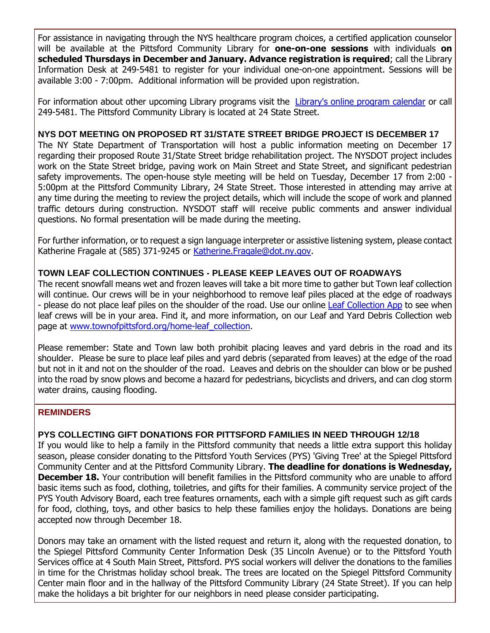For assistance in navigating through the NYS healthcare program choices, a certified application counselor will be available at the Pittsford Community Library for **one-on-one sessions** with individuals **on scheduled Thursdays in December and January. Advance registration is required**; call the Library Information Desk at 249-5481 to register for your individual one-on-one appointment. Sessions will be available 3:00 - 7:00pm. Additional information will be provided upon registration.

For information about other upcoming Library programs visit the [Library's online program calendar](http://r20.rs6.net/tn.jsp?f=001ZWdoufdGccg-6R9Km_T8YiViEXXWfEKsZo7WMavN5fymKnDJaKZLld38xMOSJpLdTXgNzSS0cggFr4obQIcUS2OCS7oekzfFUYMu94WBWweOmLw4O5bAYyNhHsh0kGMlHqJR8MtKIiqphcIHQT_TVXna2CzQW15Ikf706-AE4jn_VrdytyLA_15c1itkAivxcFahkZ9GyyE3HO1Tv_O0r2IJk-aC1oTyVUmIQvfGqulGdlhqxNhluAGpFpvVR9vWYY5f3TQOko7GOIEwB2n1WS2RhtIaJvxTd5AVAlcce7cGIsej_ZyaPc9StIEv0p804q3qbEzeuQxm9JLOp6rscnzy5Ma7woGq9xXOVSkxkW1nh-D_5nhaUzKZs0Kl16UEYGRR_T1K0IE=&c=wyJx98MRR0fIeaNOGh-D8xHYdz9-1xFpMwcJLPIo_R0zUyH_ZQ88Xw==&ch=tiegottW-m352wY89zUqQSK8AgnJ44F3gAkphMzNIUo0WgbANk-qvg==) or call 249-5481. The Pittsford Community Library is located at 24 State Street.

#### **NYS DOT MEETING ON PROPOSED RT 31/STATE STREET BRIDGE PROJECT IS DECEMBER 17**

The NY State Department of Transportation will host a public information meeting on December 17 regarding their proposed Route 31/State Street bridge rehabilitation project. The NYSDOT project includes work on the State Street bridge, paving work on Main Street and State Street, and significant pedestrian safety improvements. The open-house style meeting will be held on Tuesday, December 17 from 2:00 -5:00pm at the Pittsford Community Library, 24 State Street. Those interested in attending may arrive at any time during the meeting to review the project details, which will include the scope of work and planned traffic detours during construction. NYSDOT staff will receive public comments and answer individual questions. No formal presentation will be made during the meeting.

For further information, or to request a sign language interpreter or assistive listening system, please contact Katherine Fragale at (585) 371-9245 or [Katherine.Fragale@dot.ny.gov.](mailto:Katherine.Fragale@dot.ny.gov?subject=Info%20meeting%20re%3A%20proposed%20Route%2031%2FState%20Street%20bridge%20rehabilitation%20project)

#### **TOWN LEAF COLLECTION CONTINUES - PLEASE KEEP LEAVES OUT OF ROADWAYS**

The recent snowfall means wet and frozen leaves will take a bit more time to gather but Town leaf collection will continue. Our crews will be in your neighborhood to remove leaf piles placed at the edge of roadways - please do not place leaf piles on the shoulder of the road. Use our online [Leaf Collection App](http://r20.rs6.net/tn.jsp?f=001ZWdoufdGccg-6R9Km_T8YiViEXXWfEKsZo7WMavN5fymKnDJaKZLlVtTG19W8fnMml_9huHARluG2VUg0ZvwaxuUZp0-w5UywGDnVcm9IQ9iyVFC16G1_693jpyN68rf3u0kUp2Zy9FalhLAg_Nxn60SYgnn4SdqcpZDZrbul4AhWmiP919UuFalOJ7RApkIuAkhKsk4xpROF40rNFtTxpFPFJp48rOrsnLHORXeuVirj9Q_4sW3qVAi9eNJF0EXrAnrVx-Pz4GtIpRk9iZlAz6XOighqWxa1qwTmub3nJErQnYuwaF6gEh2H2IMeoIw&c=wyJx98MRR0fIeaNOGh-D8xHYdz9-1xFpMwcJLPIo_R0zUyH_ZQ88Xw==&ch=tiegottW-m352wY89zUqQSK8AgnJ44F3gAkphMzNIUo0WgbANk-qvg==) to see when leaf crews will be in your area. Find it, and more information, on our Leaf and Yard Debris Collection web page at [www.townofpittsford.org/home-leaf\\_collection.](http://r20.rs6.net/tn.jsp?f=001ZWdoufdGccg-6R9Km_T8YiViEXXWfEKsZo7WMavN5fymKnDJaKZLlcAQmxUc5Rdk0YbHR0CR_KstZiLrL_KFE5S_AfaZsnl0hbhP89HiUAFIEH4C4sqMkn365J_uLA4B8CrslKO_eJJI_4EcvaBb5qISJ4NutMyoMTS4bUGKr13N0EmxWOeyHKMCWzCOWgWUKlDBYRTazorAQxXXOT-S5DIvdjtvepqAtlrfO5wc5OX7pMNEi2owObGvWCjVDu6RK1uJ1QJ9UJXvEexytpdJoWWAuVFSvo454SCLp4A-f8eSz5MKliqtRI5bkVrh0R_z3WHTHJO_i9Y=&c=wyJx98MRR0fIeaNOGh-D8xHYdz9-1xFpMwcJLPIo_R0zUyH_ZQ88Xw==&ch=tiegottW-m352wY89zUqQSK8AgnJ44F3gAkphMzNIUo0WgbANk-qvg==)

Please remember: State and Town law both prohibit placing leaves and yard debris in the road and its shoulder. Please be sure to place leaf piles and yard debris (separated from leaves) at the edge of the road but not in it and not on the shoulder of the road. Leaves and debris on the shoulder can blow or be pushed into the road by snow plows and become a hazard for pedestrians, bicyclists and drivers, and can clog storm water drains, causing flooding.

#### **REMINDERS**

#### **PYS COLLECTING GIFT DONATIONS FOR PITTSFORD FAMILIES IN NEED THROUGH 12/18**

If you would like to help a family in the Pittsford community that needs a little extra support this holiday season, please consider donating to the Pittsford Youth Services (PYS) 'Giving Tree' at the Spiegel Pittsford Community Center and at the Pittsford Community Library. **The deadline for donations is Wednesday, December 18.** Your contribution will benefit families in the Pittsford community who are unable to afford basic items such as food, clothing, toiletries, and gifts for their families. A community service project of the PYS Youth Advisory Board, each tree features ornaments, each with a simple gift request such as gift cards for food, clothing, toys, and other basics to help these families enjoy the holidays. Donations are being accepted now through December 18.

Donors may take an ornament with the listed request and return it, along with the requested donation, to the Spiegel Pittsford Community Center Information Desk (35 Lincoln Avenue) or to the Pittsford Youth Services office at 4 South Main Street, Pittsford. PYS social workers will deliver the donations to the families in time for the Christmas holiday school break. The trees are located on the Spiegel Pittsford Community Center main floor and in the hallway of the Pittsford Community Library (24 State Street). If you can help make the holidays a bit brighter for our neighbors in need please consider participating.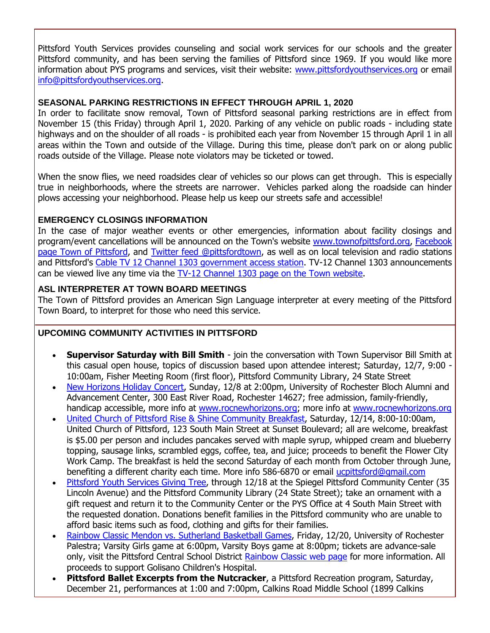Pittsford Youth Services provides counseling and social work services for our schools and the greater Pittsford community, and has been serving the families of Pittsford since 1969. If you would like more information about PYS programs and services, visit their website: [www.pittsfordyouthservices.org](http://r20.rs6.net/tn.jsp?f=001ZWdoufdGccg-6R9Km_T8YiViEXXWfEKsZo7WMavN5fymKnDJaKZLlQCVl-Vl79uxnqvOv1AQc0aGWC_9zU_UHte4ejcS3lZLRTl-eZGkmU5YIQnQw7rUsqgfTp_xw1hTLFhQu8lJWJJCWBo8crR_bRrEoBvgjmfKfmV1gWL9lrsCDqsLIo3BiuLu0U8_qeOb7DAHJfC9zWPvOv0c_ZCMatvqDlYgyRI4XzaBLm41Mk5cgfbpLFPIUFrRejPakh3d5Plk-2sAPpUvp_CqHCMXMTdkVyH8br54slVHy9O3K_xuhifmOEyLmg==&c=wyJx98MRR0fIeaNOGh-D8xHYdz9-1xFpMwcJLPIo_R0zUyH_ZQ88Xw==&ch=tiegottW-m352wY89zUqQSK8AgnJ44F3gAkphMzNIUo0WgbANk-qvg==) or email [info@pittsfordyouthservices.org.](mailto:info@pittsfordyouthservices.org?subject=PYS%20Giving%20Tree%20donation)

#### **SEASONAL PARKING RESTRICTIONS IN EFFECT THROUGH APRIL 1, 2020**

In order to facilitate snow removal, Town of Pittsford seasonal parking restrictions are in effect from November 15 (this Friday) through April 1, 2020. Parking of any vehicle on public roads - including state highways and on the shoulder of all roads - is prohibited each year from November 15 through April 1 in all areas within the Town and outside of the Village. During this time, please don't park on or along public roads outside of the Village. Please note violators may be ticketed or towed.

When the snow flies, we need roadsides clear of vehicles so our plows can get through. This is especially true in neighborhoods, where the streets are narrower. Vehicles parked along the roadside can hinder plows accessing your neighborhood. Please help us keep our streets safe and accessible!

#### **EMERGENCY CLOSINGS INFORMATION**

In the case of major weather events or other emergencies, information about facility closings and program/event cancellations will be announced on the Town's website [www.townofpittsford.org,](http://townofpittsford.org/?utm_source=eNews+12-04-19&utm_campaign=eNews+12-04-19&utm_medium=email) [Facebook](https://www.facebook.com/pages/Town-of-Pittsford/139082619464200)  [page Town of Pittsford,](https://www.facebook.com/pages/Town-of-Pittsford/139082619464200) and [Twitter feed @pittsfordtown,](http://r20.rs6.net/tn.jsp?f=001ZWdoufdGccg-6R9Km_T8YiViEXXWfEKsZo7WMavN5fymKnDJaKZLle8tzkKTFsLLpPsR9FcQElaLu_9eiHWwogNFfB2rkuSdbE576E6fGznz38gerutfs6lvqHWqe1mp5pdDIueYnhy_8uelevIXLA_QfOCUq55JMNxy4Rx3igzmGOgtARmp2Q==&c=wyJx98MRR0fIeaNOGh-D8xHYdz9-1xFpMwcJLPIo_R0zUyH_ZQ88Xw==&ch=tiegottW-m352wY89zUqQSK8AgnJ44F3gAkphMzNIUo0WgbANk-qvg==) as well as on local television and radio stations and Pittsford's [Cable TV 12 Channel 1303 government access station.](http://townofpittsford.org/home-channel12?utm_source=eNews+12-04-19&utm_campaign=eNews+12-04-19&utm_medium=email) TV-12 Channel 1303 announcements can be viewed live any time via the [TV-12 Channel 1303 page on the Town website.](http://townofpittsford.org/home-channel12?utm_source=eNews+12-04-19&utm_campaign=eNews+12-04-19&utm_medium=email)

#### **ASL INTERPRETER AT TOWN BOARD MEETINGS**

The Town of Pittsford provides an American Sign Language interpreter at every meeting of the Pittsford Town Board, to interpret for those who need this service.

#### **UPCOMING COMMUNITY ACTIVITIES IN PITTSFORD**

- **Supervisor Saturday with Bill Smith** join the conversation with Town Supervisor Bill Smith at this casual open house, topics of discussion based upon attendee interest; Saturday, 12/7, 9:00 - 10:00am, Fisher Meeting Room (first floor), Pittsford Community Library, 24 State Street
- [New Horizons Holiday Concert,](http://r20.rs6.net/tn.jsp?f=001ZWdoufdGccg-6R9Km_T8YiViEXXWfEKsZo7WMavN5fymKnDJaKZLlZJ4iodDevCANo0-21n0xFyUmYgiMDYW620lGMnlx6ehyyG3kR81HEKuqFHmkqxh27ielNcUu2sIpPCRcNEbJEWjtJx9sEZwjQQUFa0AU1KeOOt8iX3677D7HsETmE0cuYZusR_O0q6Xd6mmXsTqFEs70T8A2UxpbsYDAUJz5xBWHdsJUST6NhH-fVgHxsQdSDqcpVIz4zG-LgYOhW7fwKazCy0tkse9oDXBriu673ABL7AgbOluZmY=&c=wyJx98MRR0fIeaNOGh-D8xHYdz9-1xFpMwcJLPIo_R0zUyH_ZQ88Xw==&ch=tiegottW-m352wY89zUqQSK8AgnJ44F3gAkphMzNIUo0WgbANk-qvg==) Sunday, 12/8 at 2:00pm, University of Rochester Bloch Alumni and Advancement Center, 300 East River Road, Rochester 14627; free admission, family-friendly, handicap accessible, more info at [www.rocnewhorizons.org;](http://www.rocnewhorizons.org/) more info at [www.rocnewhorizons.org](http://r20.rs6.net/tn.jsp?f=001ZWdoufdGccg-6R9Km_T8YiViEXXWfEKsZo7WMavN5fymKnDJaKZLlZJ4iodDevCANo0-21n0xFyUmYgiMDYW620lGMnlx6ehyyG3kR81HEKuqFHmkqxh27ielNcUu2sIpPCRcNEbJEWjtJx9sEZwjQQUFa0AU1KeOOt8iX3677D7HsETmE0cuYZusR_O0q6Xd6mmXsTqFEs70T8A2UxpbsYDAUJz5xBWHdsJUST6NhH-fVgHxsQdSDqcpVIz4zG-LgYOhW7fwKazCy0tkse9oDXBriu673ABL7AgbOluZmY=&c=wyJx98MRR0fIeaNOGh-D8xHYdz9-1xFpMwcJLPIo_R0zUyH_ZQ88Xw==&ch=tiegottW-m352wY89zUqQSK8AgnJ44F3gAkphMzNIUo0WgbANk-qvg==)
- [United Church of Pittsford Rise & Shine Community Breakfast,](http://r20.rs6.net/tn.jsp?f=001ZWdoufdGccg-6R9Km_T8YiViEXXWfEKsZo7WMavN5fymKnDJaKZLlYzPOqyYZTJt2aO6e_85C5ngLFef2Wb1jgRnwbPd5NMMfkUp8NTRrQ-fyTxPI6NSZmaE_EZDDAEqzeeP9_r4EcwNbDa7maLoZp7ImLt02rMWyZpmHAZt9tGFeLrbWDxsl7aDVW7szKzrU_ATJjLFxR3X7eof09dRGuJDvJva7q_zYvceqpvocG6hOUhTARx7gHhG9ywVonqxjP9_BWdRpmDmE18zp3IpEiwMIITYcZTKemcGVDkLRA4=&c=wyJx98MRR0fIeaNOGh-D8xHYdz9-1xFpMwcJLPIo_R0zUyH_ZQ88Xw==&ch=tiegottW-m352wY89zUqQSK8AgnJ44F3gAkphMzNIUo0WgbANk-qvg==) Saturday, 12/14, 8:00-10:00am, United Church of Pittsford, 123 South Main Street at Sunset Boulevard; all are welcome, breakfast is \$5.00 per person and includes pancakes served with maple syrup, whipped cream and blueberry topping, sausage links, scrambled eggs, coffee, tea, and juice; proceeds to benefit the Flower City Work Camp. The breakfast is held the second Saturday of each month from October through June, benefiting a different charity each time. More info 586-6870 or email [ucpittsford@gmail.com](mailto:ucpittsford@gmail.com?subject=Rise%20and%20Shine%20Pancake%20Breakfast)
- [Pittsford Youth Services Giving Tree,](http://r20.rs6.net/tn.jsp?f=001ZWdoufdGccg-6R9Km_T8YiViEXXWfEKsZo7WMavN5fymKnDJaKZLlQTyJV_ssPJ_sF6JTpdLqvUN-LB3GhDd979zIW8-DK001yd35NFi253SLsO4oKmpnzV16sOyaxndb5c9m2nes3q-uzLWDMhcRR5j-JVT87emX6lhDIdDk0mN0e_nVLmNw62GMj8ucYRKZgTYAZD0h4RTRC_79hsKB-9xyWp7k4zBJwejKNqcb1n9VJGwwvxT3tJaQcs9t-54MKboWionjF82f_mzZcKxeBKy7pY3Js8vZmhUjF9Wo9w=&c=wyJx98MRR0fIeaNOGh-D8xHYdz9-1xFpMwcJLPIo_R0zUyH_ZQ88Xw==&ch=tiegottW-m352wY89zUqQSK8AgnJ44F3gAkphMzNIUo0WgbANk-qvg==) through 12/18 at the Spiegel Pittsford Community Center (35 Lincoln Avenue) and the Pittsford Community Library (24 State Street); take an ornament with a gift request and return it to the Community Center or the PYS Office at 4 South Main Street with the requested donation. Donations benefit families in the Pittsford community who are unable to afford basic items such as food, clothing and gifts for their families.
- [Rainbow Classic Mendon vs. Sutherland Basketball Games,](http://r20.rs6.net/tn.jsp?f=001ZWdoufdGccg-6R9Km_T8YiViEXXWfEKsZo7WMavN5fymKnDJaKZLlX48sTrtHlIl856QTY_rCvFDFmkBdTQcKbW3iM0SY8iLDNm9yd0FRqw29QWWzxQFzLiV549lQ4niWnMekP9IlIpXVmwSX6FgF0EtYhggObipcT2Xept2jXLLLXixLPj7jHRdR7j0jdsBWiO52cO-ZpV-9WkZAqju7p0cHz4BZ--Q305k7qaJBHbKuuNLo1LR2rd7rp_w_q-4yodQ9smL_A4WvV9CJZ-xSbMQ9emQBndjQSiXlKnoVajKgtl9rRr9sTjXQ7CK-L6q&c=wyJx98MRR0fIeaNOGh-D8xHYdz9-1xFpMwcJLPIo_R0zUyH_ZQ88Xw==&ch=tiegottW-m352wY89zUqQSK8AgnJ44F3gAkphMzNIUo0WgbANk-qvg==) Friday, 12/20, University of Rochester Palestra; Varsity Girls game at 6:00pm, Varsity Boys game at 8:00pm; tickets are advance-sale only, visit the Pittsford Central School District [Rainbow Classic web page](http://r20.rs6.net/tn.jsp?f=001ZWdoufdGccg-6R9Km_T8YiViEXXWfEKsZo7WMavN5fymKnDJaKZLlX48sTrtHlIl856QTY_rCvFDFmkBdTQcKbW3iM0SY8iLDNm9yd0FRqw29QWWzxQFzLiV549lQ4niWnMekP9IlIpXVmwSX6FgF0EtYhggObipcT2Xept2jXLLLXixLPj7jHRdR7j0jdsBWiO52cO-ZpV-9WkZAqju7p0cHz4BZ--Q305k7qaJBHbKuuNLo1LR2rd7rp_w_q-4yodQ9smL_A4WvV9CJZ-xSbMQ9emQBndjQSiXlKnoVajKgtl9rRr9sTjXQ7CK-L6q&c=wyJx98MRR0fIeaNOGh-D8xHYdz9-1xFpMwcJLPIo_R0zUyH_ZQ88Xw==&ch=tiegottW-m352wY89zUqQSK8AgnJ44F3gAkphMzNIUo0WgbANk-qvg==) for more information. All proceeds to support Golisano Children's Hospital.
- **Pittsford Ballet Excerpts from the Nutcracker**, a Pittsford Recreation program, Saturday, December 21, performances at 1:00 and 7:00pm, Calkins Road Middle School (1899 Calkins